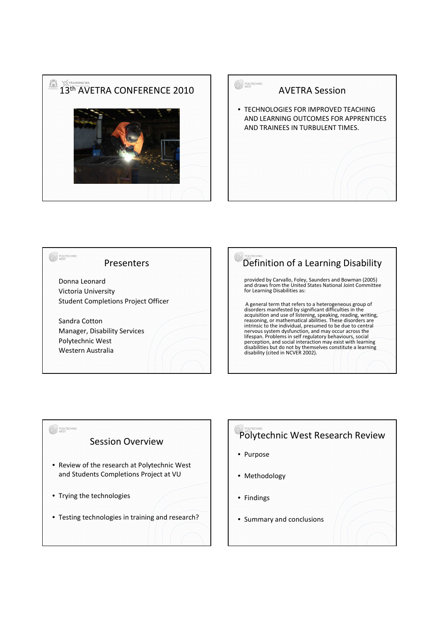

| <b>TECHNIC</b><br><b>AVETRA Session</b>                                                                           |
|-------------------------------------------------------------------------------------------------------------------|
| • TECHNOLOGIES FOR IMPROVED TEACHING<br>AND LEARNING OUTCOMES FOR APPRENTICES<br>AND TRAINEES IN TURBULENT TIMES. |
|                                                                                                                   |





## Polytechnic West Research Review

- Purpose
- Methodology
- Findings
- Summary and conclusions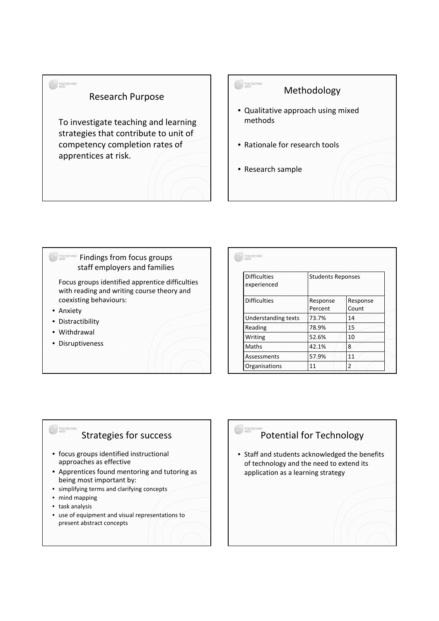



### **SOLLYTECHNIC Findings from focus groups** staff employers and families Focus groups identified apprentice difficulties

with reading and writing course theory and coexisting behaviours:

- Anxiety
- Distractibility
- Withdrawal
- Disruptiveness

| <b>Difficulties</b> | <b>Students Reponses</b> |          |
|---------------------|--------------------------|----------|
| experienced         |                          |          |
| <b>Difficulties</b> | Response                 | Response |
|                     | Percent                  | Count    |
| Understanding texts | 73.7%                    | 14       |
| Reading             | 78.9%                    | 15       |
| Writing             | 52.6%                    | 10       |
| Maths               | 42.1%                    | 8        |
| Assessments         | 57.9%                    | 11       |
| Organisations       | 11                       | 2        |

#### Strategies for success

- focus groups identified instructional approaches as effective
- Apprentices found mentoring and tutoring as being most important by:
- simplifying terms and clarifying concepts
- mind mapping
- task analysis

<sup>*POLYTE*</sup>

• use of equipment and visual representations to present abstract concepts

# Potential for Technology

**O** POLYTEC

• Staff and students acknowledged the benefits of technology and the need to extend its application as a learning strategy